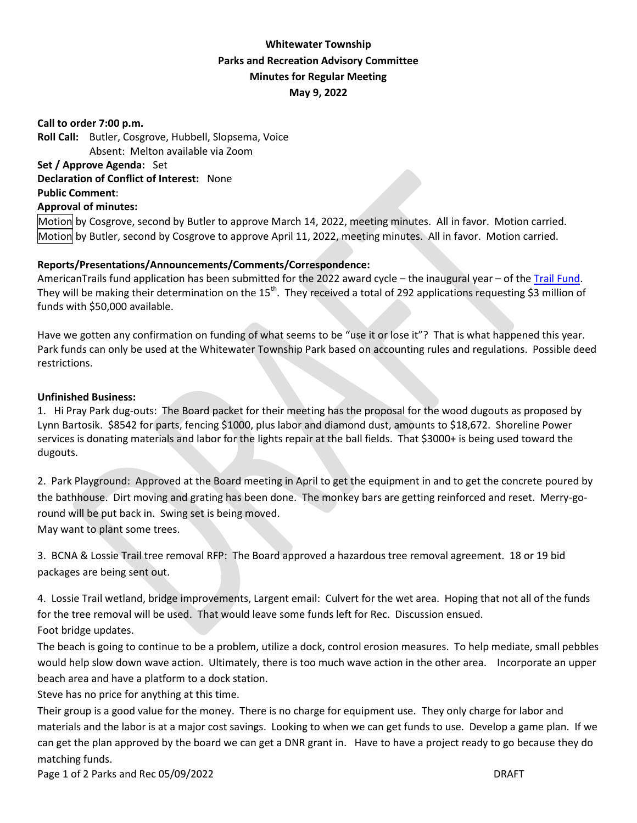# **Whitewater Township Parks and Recreation Advisory Committee Minutes for Regular Meeting May 9, 2022**

**Call to order 7:00 p.m. Roll Call:** Butler, Cosgrove, Hubbell, Slopsema, Voice Absent: Melton available via Zoom **Set / Approve Agenda:** Set **Declaration of Conflict of Interest:** None **Public Comment**: **Approval of minutes:** 

Motion by Cosgrove, second by Butler to approve March 14, 2022, meeting minutes. All in favor. Motion carried. Motion by Butler, second by Cosgrove to approve April 11, 2022, meeting minutes. All in favor. Motion carried.

## **Reports/Presentations/Announcements/Comments/Correspondence:**

AmericanTrails fund application has been submitted for the 2022 award cycle – the inaugural year – of the [Trail Fund.](https://www.americantrails.org/the-trail-fund) They will be making their determination on the 15<sup>th</sup>. They received a total of 292 applications requesting \$3 million of funds with \$50,000 available.

Have we gotten any confirmation on funding of what seems to be "use it or lose it"? That is what happened this year. Park funds can only be used at the Whitewater Township Park based on accounting rules and regulations. Possible deed restrictions.

### **Unfinished Business:**

1. Hi Pray Park dug-outs: The Board packet for their meeting has the proposal for the wood dugouts as proposed by Lynn Bartosik. \$8542 for parts, fencing \$1000, plus labor and diamond dust, amounts to \$18,672. Shoreline Power services is donating materials and labor for the lights repair at the ball fields. That \$3000+ is being used toward the dugouts.

2. Park Playground: Approved at the Board meeting in April to get the equipment in and to get the concrete poured by the bathhouse. Dirt moving and grating has been done. The monkey bars are getting reinforced and reset. Merry-goround will be put back in. Swing set is being moved.

May want to plant some trees.

3. BCNA & Lossie Trail tree removal RFP: The Board approved a hazardous tree removal agreement. 18 or 19 bid packages are being sent out.

4. Lossie Trail wetland, bridge improvements, Largent email: Culvert for the wet area. Hoping that not all of the funds for the tree removal will be used. That would leave some funds left for Rec. Discussion ensued. Foot bridge updates.

The beach is going to continue to be a problem, utilize a dock, control erosion measures. To help mediate, small pebbles would help slow down wave action. Ultimately, there is too much wave action in the other area. Incorporate an upper beach area and have a platform to a dock station.

Steve has no price for anything at this time.

Their group is a good value for the money. There is no charge for equipment use. They only charge for labor and materials and the labor is at a major cost savings. Looking to when we can get funds to use. Develop a game plan. If we can get the plan approved by the board we can get a DNR grant in. Have to have a project ready to go because they do matching funds.

Page 1 of 2 Parks and Rec 05/09/2022 DRAFT